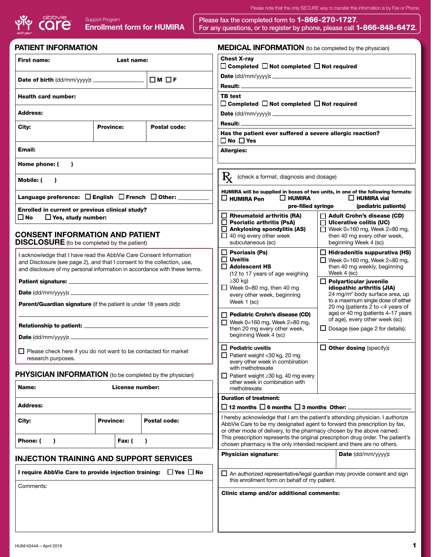| Please note that the only SECURE way to transfer this information is by Fax or Phone. |  |  |  |  |  |
|---------------------------------------------------------------------------------------|--|--|--|--|--|
|---------------------------------------------------------------------------------------|--|--|--|--|--|



Please fax the completed form to 1-866-270-1727. Enrollment form for HUMIRA For any questions, or to register by phone, please call 1-866-848-6472.

| <b>PATIENT INFORMATION</b>                                                                                                                                                                                                 |                  |                     | <b>MEDICAL INFORMATION</b> (to be completed by the physician)                                                                                                                                                                        |                                                                                                                                                                                                                                                                                                                                                         |                                                                                                                         |  |  |  |
|----------------------------------------------------------------------------------------------------------------------------------------------------------------------------------------------------------------------------|------------------|---------------------|--------------------------------------------------------------------------------------------------------------------------------------------------------------------------------------------------------------------------------------|---------------------------------------------------------------------------------------------------------------------------------------------------------------------------------------------------------------------------------------------------------------------------------------------------------------------------------------------------------|-------------------------------------------------------------------------------------------------------------------------|--|--|--|
| <b>First name:</b>                                                                                                                                                                                                         | Last name:       |                     | <b>Chest X-rav</b>                                                                                                                                                                                                                   |                                                                                                                                                                                                                                                                                                                                                         |                                                                                                                         |  |  |  |
|                                                                                                                                                                                                                            |                  |                     | $\Box$ Completed $\Box$ Not completed $\Box$ Not required                                                                                                                                                                            |                                                                                                                                                                                                                                                                                                                                                         |                                                                                                                         |  |  |  |
| Date of birth (dd/mm/yyyy): _________________                                                                                                                                                                              |                  | ∣□м □ғ              |                                                                                                                                                                                                                                      |                                                                                                                                                                                                                                                                                                                                                         |                                                                                                                         |  |  |  |
| <b>Health card number:</b>                                                                                                                                                                                                 |                  |                     | <b>TB</b> test                                                                                                                                                                                                                       |                                                                                                                                                                                                                                                                                                                                                         |                                                                                                                         |  |  |  |
|                                                                                                                                                                                                                            |                  |                     | $\Box$ Completed $\Box$ Not completed $\Box$ Not required                                                                                                                                                                            |                                                                                                                                                                                                                                                                                                                                                         |                                                                                                                         |  |  |  |
| <b>Address:</b>                                                                                                                                                                                                            |                  |                     |                                                                                                                                                                                                                                      |                                                                                                                                                                                                                                                                                                                                                         |                                                                                                                         |  |  |  |
| City:                                                                                                                                                                                                                      | <b>Province:</b> | <b>Postal code:</b> | <b>Result:</b>                                                                                                                                                                                                                       |                                                                                                                                                                                                                                                                                                                                                         |                                                                                                                         |  |  |  |
| Has the patient ever suffered a severe allergic reaction?<br>$\Box$ No $\Box$ Yes                                                                                                                                          |                  |                     |                                                                                                                                                                                                                                      |                                                                                                                                                                                                                                                                                                                                                         |                                                                                                                         |  |  |  |
| Email:                                                                                                                                                                                                                     |                  |                     | <b>Allergies:</b>                                                                                                                                                                                                                    |                                                                                                                                                                                                                                                                                                                                                         |                                                                                                                         |  |  |  |
| Home phone: (<br>$\lambda$                                                                                                                                                                                                 |                  |                     |                                                                                                                                                                                                                                      |                                                                                                                                                                                                                                                                                                                                                         |                                                                                                                         |  |  |  |
| Mobile: (<br>$\lambda$                                                                                                                                                                                                     |                  |                     | $\mathbf{R}_{\mathbf{X}}$ (check a format, diagnosis and dosage)                                                                                                                                                                     |                                                                                                                                                                                                                                                                                                                                                         |                                                                                                                         |  |  |  |
| Language preference: $\Box$ English $\Box$ French $\Box$ Other: _____                                                                                                                                                      |                  |                     | HUMIRA will be supplied in boxes of two units, in one of the following formats:<br>$\square$ HUMIRA Pen<br>$\Box$ Humira<br>$\Box$ HUMIRA vial<br>pre-filled syringe<br>(pediatric patients)                                         |                                                                                                                                                                                                                                                                                                                                                         |                                                                                                                         |  |  |  |
| Enrolled in current or previous clinical study?<br>□ No<br>$\Box$ Yes, study number:                                                                                                                                       |                  |                     | $\Box$ Rheumatoid arthritis (RA)                                                                                                                                                                                                     |                                                                                                                                                                                                                                                                                                                                                         | $\Box$ Adult Crohn's disease (CD)                                                                                       |  |  |  |
| <b>CONSENT INFORMATION AND PATIENT</b><br><b>DISCLOSURE</b> (to be completed by the patient)                                                                                                                               |                  |                     | $\Box$ Psoriatic arthritis (PsA)<br>$\Box$ Ankylosing spondylitis (AS)<br>$\Box$ 40 mg every other week<br>subcutaneous (sc)                                                                                                         |                                                                                                                                                                                                                                                                                                                                                         | $\Box$ Ulcerative colitis (UC)<br>Week 0=160 mg, Week 2=80 mg,<br>then 40 mg every other week,<br>beginning Week 4 (sc) |  |  |  |
|                                                                                                                                                                                                                            |                  |                     | $\Box$ Psoriasis (Ps)                                                                                                                                                                                                                |                                                                                                                                                                                                                                                                                                                                                         | $\Box$ Hidradenitis suppurativa (HS)                                                                                    |  |  |  |
| I acknowledge that I have read the AbbVie Care Consent Information<br>and Disclosure (see page 2), and that I consent to the collection, use,<br>and disclosure of my personal information in accordance with these terms. |                  |                     | $\square$ Uveitis<br>$\square$ Adolescent HS                                                                                                                                                                                         | $\Box$ Week 0=160 mg, Week 2=80 mg,<br>then 40 mg weekly, beginning                                                                                                                                                                                                                                                                                     |                                                                                                                         |  |  |  |
|                                                                                                                                                                                                                            |                  |                     | (12 to 17 years of age weighing<br>$\geq$ 30 kg)                                                                                                                                                                                     | Week 4 (sc)<br>$\Box$ Polyarticular juvenile<br>idiopathic arthritis (JIA)<br>24 mg/m <sup>2</sup> body surface area, up<br>to a maximum single dose of either<br>20 mg (patients 2 to <4 years of<br>age) or 40 mg (patients 4-17 years<br>of age), every other week (sc)<br>$\Box$ Dosage (see page 2 for details):<br>$\Box$ Other dosing (specify): |                                                                                                                         |  |  |  |
|                                                                                                                                                                                                                            |                  |                     | $\Box$ Week 0=80 mg, then 40 mg                                                                                                                                                                                                      |                                                                                                                                                                                                                                                                                                                                                         |                                                                                                                         |  |  |  |
| <b>Parent/Guardian signature</b> (if the patient is under 18 years old):                                                                                                                                                   |                  |                     | every other week, beginning<br>Week 1 (sc)                                                                                                                                                                                           |                                                                                                                                                                                                                                                                                                                                                         |                                                                                                                         |  |  |  |
|                                                                                                                                                                                                                            |                  |                     | Pediatric Crohn's disease (CD)<br>Week 0=160 mg, Week 2=80 mg,                                                                                                                                                                       |                                                                                                                                                                                                                                                                                                                                                         |                                                                                                                         |  |  |  |
|                                                                                                                                                                                                                            |                  |                     | then 20 mg every other week,<br>beginning Week 4 (sc)                                                                                                                                                                                |                                                                                                                                                                                                                                                                                                                                                         |                                                                                                                         |  |  |  |
| $\Box$ Please check here if you do not want to be contacted for market<br>research purposes.                                                                                                                               |                  |                     | $\Box$ Pediatric uveitis<br>Patient weight <30 kg, 20 mg<br>every other week in combination                                                                                                                                          |                                                                                                                                                                                                                                                                                                                                                         |                                                                                                                         |  |  |  |
| <b>PHYSICIAN INFORMATION</b> (to be completed by the physician)                                                                                                                                                            |                  |                     | with methotrexate                                                                                                                                                                                                                    |                                                                                                                                                                                                                                                                                                                                                         |                                                                                                                         |  |  |  |
| Name:                                                                                                                                                                                                                      | License number:  |                     | $\Box$ Patient weight $\geq$ 30 kg, 40 mg every<br>other week in combination with<br>methotrexate                                                                                                                                    |                                                                                                                                                                                                                                                                                                                                                         |                                                                                                                         |  |  |  |
| <b>Address:</b>                                                                                                                                                                                                            |                  |                     | <b>Duration of treatment:</b><br>$\square$ 12 months $\square$ 6 months $\square$ 3 months Other:                                                                                                                                    |                                                                                                                                                                                                                                                                                                                                                         |                                                                                                                         |  |  |  |
| City:                                                                                                                                                                                                                      | <b>Province:</b> | Postal code:        | I hereby acknowledge that I am the patient's attending physician. I authorize<br>AbbVie Care to be my designated agent to forward this prescription by fax,<br>or other mode of delivery, to the pharmacy chosen by the above named. |                                                                                                                                                                                                                                                                                                                                                         |                                                                                                                         |  |  |  |
| Phone: (<br>$\lambda$                                                                                                                                                                                                      | Fax: (           | $\lambda$           | This prescription represents the original prescription drug order. The patient's<br>chosen pharmacy is the only intended recipient and there are no others.                                                                          |                                                                                                                                                                                                                                                                                                                                                         |                                                                                                                         |  |  |  |
| <b>INJECTION TRAINING AND SUPPORT SERVICES</b>                                                                                                                                                                             |                  |                     | <b>Physician signature:</b>                                                                                                                                                                                                          |                                                                                                                                                                                                                                                                                                                                                         | Date (dd/mm/yyyy):                                                                                                      |  |  |  |
| I require AbbVie Care to provide injection training: $\Box$ Yes $\Box$ No                                                                                                                                                  |                  |                     | $\Box$ An authorized representative/legal guardian may provide consent and sign<br>this enrollment form on behalf of my patient.                                                                                                     |                                                                                                                                                                                                                                                                                                                                                         |                                                                                                                         |  |  |  |
| Comments:                                                                                                                                                                                                                  |                  |                     | Clinic stamp and/or additional comments:                                                                                                                                                                                             |                                                                                                                                                                                                                                                                                                                                                         |                                                                                                                         |  |  |  |
|                                                                                                                                                                                                                            |                  |                     |                                                                                                                                                                                                                                      |                                                                                                                                                                                                                                                                                                                                                         |                                                                                                                         |  |  |  |